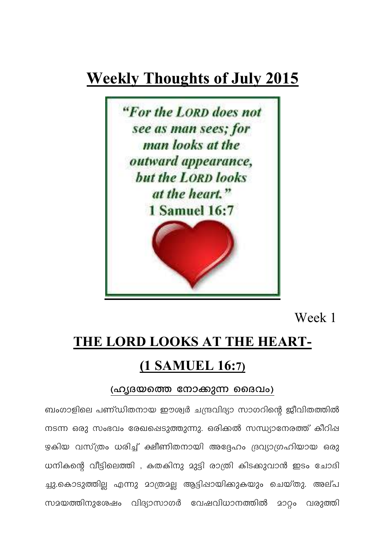## **Weekly Thoughts of July 2015**



Week 1

## THE LORD LOOKS AT THE HEART-(1 SAMUEL 16:7)

## (ഹൃദയത്തെ നോക്കുന്ന ദൈവം)

ബംഗാളിലെ പണ്ഡിതനായ ഈശ്വർ ചന്ദ്രവിദ്യാ സാഗറിന്റെ ജീവിതത്തിൽ നടന്ന ഒരു സംഭവം രേഖപ്പെടുത്തുന്നു. ഒരിക്കൽ സന്ധ്യാനേരത്ത് കീറിഷ ഴകിയ വസ്ത്രം ധരിച്ച് ക്ഷീണിതനായി അദ്ദേഹം ദ്രവ്യാഗ്രഹിയായ ഒരു ധനികന്റെ വീട്ടിലെത്തി , കതകിനു മുട്ടി രാത്രി കിടക്കുവാൻ ഇടം ചോദി ച്ചു.കൊടുത്തില്ല എന്നു മാത്രമല്ല ആട്ടിഷായിക്കുകയും ചെയ്തു. അല്പ സമയത്തിനുശേഷം വിദ്യാസാഗർ വേഷവിധാനത്തിൽ മാറ്റം വരുത്തി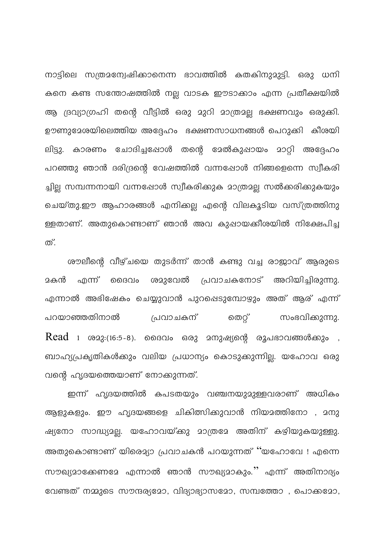നാട്ടിലെ സത്രമന്വേഷിക്കാനെന്ന ഭാവത്തിൽ കതകിനുമുട്ടി. ഒരു ധനി കനെ കണ്ട സന്തോഷത്തിൽ നല്ല വാടക ഈടാക്കാം എന്ന പ്രതീക്ഷയിൽ ആ ദ്രവ്യാഗ്രഹി തന്റെ വീട്ടിൽ ഒരു മുറി മാത്രമല്ല ഭക്ഷണവും ഒരുക്കി. ഊണുദേശയിലെത്തിയ അദ്ദേഹം ഭക്ഷണസാധനങ്ങൾ പെറുക്കി കീശയി ലിട്ടു. കാരണം ചോദിച്ചപ്പോൾ തന്റെ മേൽകുപ്പായം മാറ്റി അദ്ദേഹം പറഞ്ഞു ഞാൻ ദരിദ്രന്റെ വേഷത്തിൽ വന്നപ്പോൾ നിങ്ങളെന്നെ സ്വീകരി ച്ചില്ല സമ്പന്നനായി വന്നപ്പോൾ സ്വീകരിക്കുക മാത്രമല്ല സൽക്കരിക്കുകയും ചെയ്തു.ഈ ആഹാരങ്ങൾ എനിക്കല്ല എന്റെ വിലകൂടിയ വസ്ത്രത്തിനു ള്ളതാണ്. അതുകൊണ്ടാണ് ഞാൻ അവ കുപ്പായക്കീശയിൽ നിക്ഷേപിച്ച ത്.

ശൗലീന്റെ വീഴ്ചയെ തുടർന്ന് താൻ കണ്ടു വച്ച രാജാവ് ആരുടെ മകൻ എന്ന് ദൈവം ശമുവേൽ പ്രവാചകനോട് അറിയിച്ചിരുന്നു. എന്നാൽ അഭിഷേകം ചെയ്യുവാൻ പുറപ്പെടുമ്പോഴും അത് ആര് എന്ന് പറയാഞ്ഞതിനാൽ പ്രവാചകന് തെറ്റ് സംഭവിക്കുന്നു.  $Read$  1 ശമു $:(16:5-8)$ . ദൈവം ഒരു മനുഷ്യന്റെ രൂപഭാവങ്ങൾക്കും , ബാഹ്യപ്രകൃതികൾക്കും വലിയ പ്രധാന്യം കൊടുക്കുന്നില്ല. യഹോവ ഒരു വന്റെ ഹൃദയത്തെയാണ് നോക്കുന്നത്.

ഇന്ന് ഹൃദയത്തിൽ കപടതയും വഞ്ചനയുമുള്ളവരാണ് അധികം ആളുകളും. ഈ ഹൃദയങ്ങളെ ചികിത്സിക്കുവാൻ നിയമത്തിനോ , മനു ഷ്യനോ സാദ്ധ്യമല്ല. യഹോവയ്ക്കു മാത്രമേ അതിന് കഴിയുകയുള്ളു. അതുകൊണ്ടാണ് യിരെമ്യാ പ്രവാചകൻ പറയുന്നത് ''യഹോവേ ! എന്നെ സൗഖ്യമാക്കേണമേ എന്നാൽ ഞാൻ സൗഖ്യമാകും.'' എന്ന് അതിനാദ്യം വേണ്ടത് നമ്മുടെ സൗന്ദര്യമോ, വിദ്യാഭ്യാസമോ, സമ്പത്തോ , പൊക്കമോ,